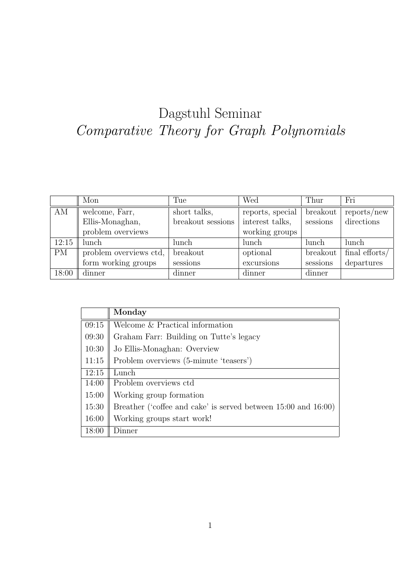## Dagstuhl Seminar Comparative Theory for Graph Polynomials

|           | Mon                    | Tue               | Wed              | Thur     | Fri                         |
|-----------|------------------------|-------------------|------------------|----------|-----------------------------|
| AM        | welcome, Farr,         | short talks,      | reports, special | breakout | $\text{reports}/\text{new}$ |
|           | Ellis-Monaghan,        | breakout sessions | interest talks,  | sessions | directions                  |
|           | problem overviews      |                   | working groups   |          |                             |
| 12:15     | lunch                  | lunch             | lunch            | lunch    | lunch                       |
| <b>PM</b> | problem overviews ctd, | breakout          | optional         | breakout | final efforts/              |
|           | form working groups    | sessions          | excursions       | sessions | departures                  |
| 18:00     | dinner                 | dinner            | dinner           | dinner   |                             |

|       | Monday                                                         |  |
|-------|----------------------------------------------------------------|--|
| 09:15 | Welcome & Practical information                                |  |
| 09:30 | Graham Farr: Building on Tutte's legacy                        |  |
| 10:30 | Jo Ellis-Monaghan: Overview                                    |  |
| 11:15 | Problem overviews (5-minute 'teasers')                         |  |
| 12:15 | Lunch                                                          |  |
| 14:00 | Problem overviews ctd                                          |  |
| 15:00 | Working group formation                                        |  |
| 15:30 | Breather ('coffee and cake' is served between 15:00 and 16:00) |  |
| 16:00 | Working groups start work!                                     |  |
| 18:00 | Dinner                                                         |  |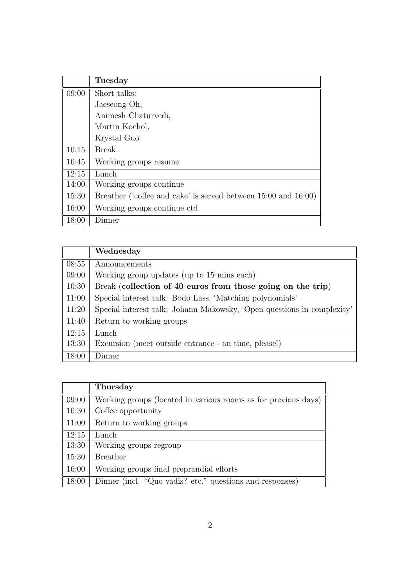|       | Tuesday                                                        |  |
|-------|----------------------------------------------------------------|--|
| 09:00 | Short talks:                                                   |  |
|       | Jaeseong Oh,                                                   |  |
|       | Animesh Chaturvedi,                                            |  |
|       | Martin Kochol,                                                 |  |
|       | Krystal Guo                                                    |  |
| 10:15 | <b>Break</b>                                                   |  |
| 10:45 | Working groups resume                                          |  |
| 12:15 | Lunch                                                          |  |
| 14:00 | Working groups continue                                        |  |
| 15:30 | Breather ('coffee and cake' is served between 15:00 and 16:00) |  |
| 16:00 | Working groups continue ctd.                                   |  |
| 18:00 | Dinner                                                         |  |

|       | Wednesday                                                              |
|-------|------------------------------------------------------------------------|
| 08:55 | Announcements                                                          |
| 09:00 | Working group updates (up to 15 mins each)                             |
| 10:30 | Break (collection of 40 euros from those going on the trip)            |
| 11:00 | Special interest talk: Bodo Lass, 'Matching polynomials'               |
| 11:20 | Special interest talk: Johann Makowsky, 'Open questions in complexity' |
| 11:40 | Return to working groups                                               |
| 12:15 | Lunch                                                                  |
| 13:30 | Excursion (meet outside entrance - on time, please!)                   |
| 18:00 | Dinner                                                                 |

|       | Thursday                                                       |
|-------|----------------------------------------------------------------|
| 09:00 | Working groups (located in various rooms as for previous days) |
| 10:30 | Coffee opportunity                                             |
| 11:00 | Return to working groups                                       |
| 12:15 | Lunch                                                          |
| 13:30 | Working groups regroup                                         |
| 15:30 | <b>Breather</b>                                                |
| 16:00 | Working groups final preprandial efforts                       |
| 18:00 | Dinner (incl. "Quo vadis? etc." questions and responses)       |